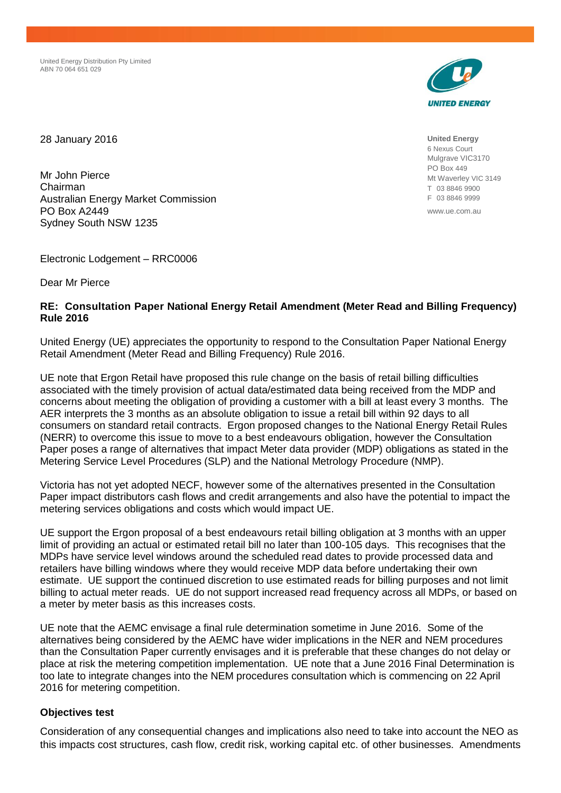United Energy Distribution Pty Limited ABN 70 064 651 029



28 January 2016

Mr John Pierce Chairman Australian Energy Market Commission PO Box A2449 Sydney South NSW 1235

Electronic Lodgement – RRC0006

Dear Mr Pierce

#### **RE: Consultation Paper National Energy Retail Amendment (Meter Read and Billing Frequency) Rule 2016**

United Energy (UE) appreciates the opportunity to respond to the Consultation Paper National Energy Retail Amendment (Meter Read and Billing Frequency) Rule 2016.

UE note that Ergon Retail have proposed this rule change on the basis of retail billing difficulties associated with the timely provision of actual data/estimated data being received from the MDP and concerns about meeting the obligation of providing a customer with a bill at least every 3 months. The AER interprets the 3 months as an absolute obligation to issue a retail bill within 92 days to all consumers on standard retail contracts. Ergon proposed changes to the National Energy Retail Rules (NERR) to overcome this issue to move to a best endeavours obligation, however the Consultation Paper poses a range of alternatives that impact Meter data provider (MDP) obligations as stated in the Metering Service Level Procedures (SLP) and the National Metrology Procedure (NMP).

Victoria has not yet adopted NECF, however some of the alternatives presented in the Consultation Paper impact distributors cash flows and credit arrangements and also have the potential to impact the metering services obligations and costs which would impact UE.

UE support the Ergon proposal of a best endeavours retail billing obligation at 3 months with an upper limit of providing an actual or estimated retail bill no later than 100-105 days. This recognises that the MDPs have service level windows around the scheduled read dates to provide processed data and retailers have billing windows where they would receive MDP data before undertaking their own estimate. UE support the continued discretion to use estimated reads for billing purposes and not limit billing to actual meter reads. UE do not support increased read frequency across all MDPs, or based on a meter by meter basis as this increases costs.

UE note that the AEMC envisage a final rule determination sometime in June 2016. Some of the alternatives being considered by the AEMC have wider implications in the NER and NEM procedures than the Consultation Paper currently envisages and it is preferable that these changes do not delay or place at risk the metering competition implementation. UE note that a June 2016 Final Determination is too late to integrate changes into the NEM procedures consultation which is commencing on 22 April 2016 for metering competition.

### **Objectives test**

Consideration of any consequential changes and implications also need to take into account the NEO as this impacts cost structures, cash flow, credit risk, working capital etc. of other businesses. Amendments

**United Energy** 6 Nexus Court Mulgrave VIC3170 PO Box 449 Mt Waverley VIC 3149 T 03 8846 9900 F 03 8846 9999

www.ue.com.au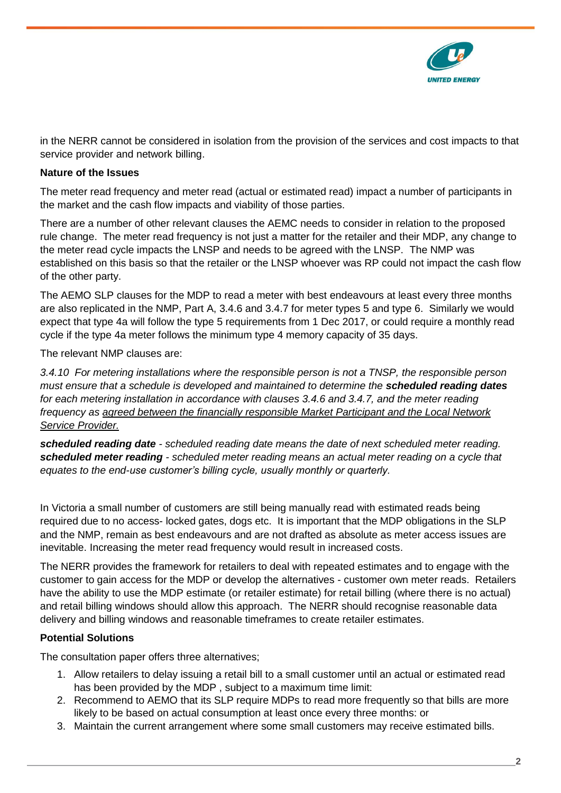

in the NERR cannot be considered in isolation from the provision of the services and cost impacts to that service provider and network billing.

## **Nature of the Issues**

The meter read frequency and meter read (actual or estimated read) impact a number of participants in the market and the cash flow impacts and viability of those parties.

There are a number of other relevant clauses the AEMC needs to consider in relation to the proposed rule change. The meter read frequency is not just a matter for the retailer and their MDP, any change to the meter read cycle impacts the LNSP and needs to be agreed with the LNSP. The NMP was established on this basis so that the retailer or the LNSP whoever was RP could not impact the cash flow of the other party.

The AEMO SLP clauses for the MDP to read a meter with best endeavours at least every three months are also replicated in the NMP, Part A, 3.4.6 and 3.4.7 for meter types 5 and type 6. Similarly we would expect that type 4a will follow the type 5 requirements from 1 Dec 2017, or could require a monthly read cycle if the type 4a meter follows the minimum type 4 memory capacity of 35 days.

The relevant NMP clauses are:

*3.4.10 For metering installations where the responsible person is not a TNSP, the responsible person must ensure that a schedule is developed and maintained to determine the scheduled reading dates for each metering installation in accordance with clauses 3.4.6 and 3.4.7, and the meter reading frequency as agreed between the financially responsible Market Participant and the Local Network Service Provider.*

*scheduled reading date - scheduled reading date means the date of next scheduled meter reading. scheduled meter reading - scheduled meter reading means an actual meter reading on a cycle that equates to the end-use customer's billing cycle, usually monthly or quarterly.*

In Victoria a small number of customers are still being manually read with estimated reads being required due to no access- locked gates, dogs etc. It is important that the MDP obligations in the SLP and the NMP, remain as best endeavours and are not drafted as absolute as meter access issues are inevitable. Increasing the meter read frequency would result in increased costs.

The NERR provides the framework for retailers to deal with repeated estimates and to engage with the customer to gain access for the MDP or develop the alternatives - customer own meter reads. Retailers have the ability to use the MDP estimate (or retailer estimate) for retail billing (where there is no actual) and retail billing windows should allow this approach. The NERR should recognise reasonable data delivery and billing windows and reasonable timeframes to create retailer estimates.

# **Potential Solutions**

The consultation paper offers three alternatives;

- 1. Allow retailers to delay issuing a retail bill to a small customer until an actual or estimated read has been provided by the MDP , subject to a maximum time limit:
- 2. Recommend to AEMO that its SLP require MDPs to read more frequently so that bills are more likely to be based on actual consumption at least once every three months: or
- 3. Maintain the current arrangement where some small customers may receive estimated bills.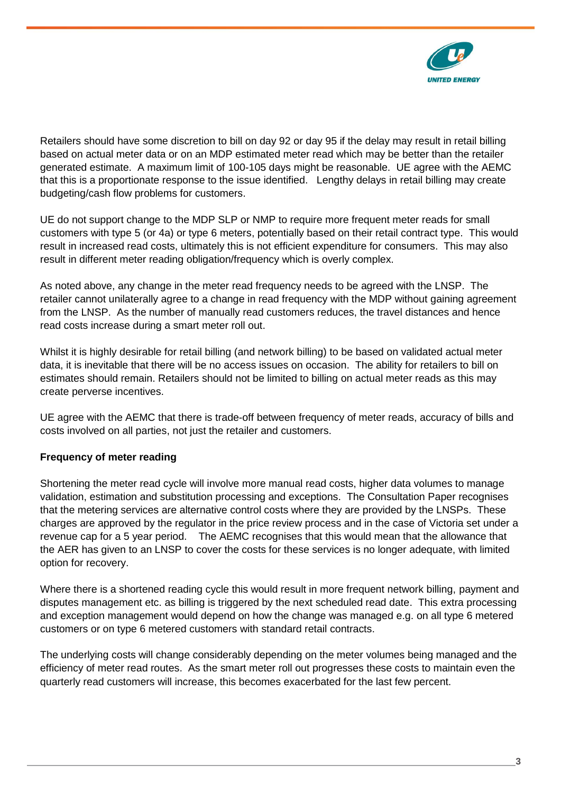

Retailers should have some discretion to bill on day 92 or day 95 if the delay may result in retail billing based on actual meter data or on an MDP estimated meter read which may be better than the retailer generated estimate. A maximum limit of 100-105 days might be reasonable. UE agree with the AEMC that this is a proportionate response to the issue identified. Lengthy delays in retail billing may create budgeting/cash flow problems for customers.

UE do not support change to the MDP SLP or NMP to require more frequent meter reads for small customers with type 5 (or 4a) or type 6 meters, potentially based on their retail contract type. This would result in increased read costs, ultimately this is not efficient expenditure for consumers. This may also result in different meter reading obligation/frequency which is overly complex.

As noted above, any change in the meter read frequency needs to be agreed with the LNSP. The retailer cannot unilaterally agree to a change in read frequency with the MDP without gaining agreement from the LNSP. As the number of manually read customers reduces, the travel distances and hence read costs increase during a smart meter roll out.

Whilst it is highly desirable for retail billing (and network billing) to be based on validated actual meter data, it is inevitable that there will be no access issues on occasion. The ability for retailers to bill on estimates should remain. Retailers should not be limited to billing on actual meter reads as this may create perverse incentives.

UE agree with the AEMC that there is trade-off between frequency of meter reads, accuracy of bills and costs involved on all parties, not just the retailer and customers.

# **Frequency of meter reading**

Shortening the meter read cycle will involve more manual read costs, higher data volumes to manage validation, estimation and substitution processing and exceptions. The Consultation Paper recognises that the metering services are alternative control costs where they are provided by the LNSPs. These charges are approved by the regulator in the price review process and in the case of Victoria set under a revenue cap for a 5 year period. The AEMC recognises that this would mean that the allowance that the AER has given to an LNSP to cover the costs for these services is no longer adequate, with limited option for recovery.

Where there is a shortened reading cycle this would result in more frequent network billing, payment and disputes management etc. as billing is triggered by the next scheduled read date. This extra processing and exception management would depend on how the change was managed e.g. on all type 6 metered customers or on type 6 metered customers with standard retail contracts.

The underlying costs will change considerably depending on the meter volumes being managed and the efficiency of meter read routes. As the smart meter roll out progresses these costs to maintain even the quarterly read customers will increase, this becomes exacerbated for the last few percent.